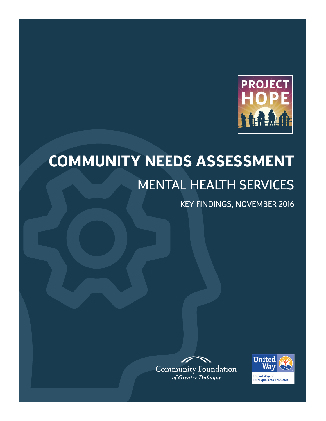

# **COMMUNITY NEEDS ASSESSMENT** MENTAL HEALTH SERVICES

KEY FINDINGS, NOVEMBER 2016



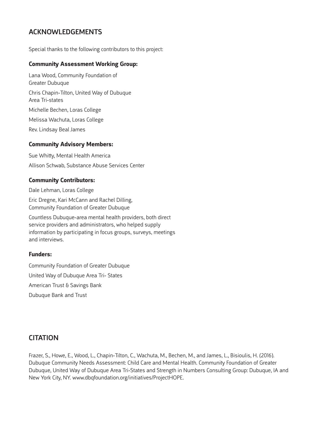### ACKNOWLEDGEMENTS

Special thanks to the following contributors to this project:

### **Community Assessment Working Group:**

Lana Wood, Community Foundation of Greater Dubuque Chris Chapin-Tilton, United Way of Dubuque Area Tri-states Michelle Bechen, Loras College Melissa Wachuta, Loras College Rev. Lindsay Beal James

### **Community Advisory Members:**

Sue Whitty, Mental Health America Allison Schwab, Substance Abuse Services Center

### **Community Contributors:**

Dale Lehman, Loras College

Eric Dregne, Kari McCann and Rachel Dilling, Community Foundation of Greater Dubuque

Countless Dubuque-area mental health providers, both direct service providers and administrators, who helped supply information by participating in focus groups, surveys, meetings and interviews.

#### **Funders:**

Community Foundation of Greater Dubuque United Way of Dubuque Area Tri- States American Trust & Savings Bank Dubuque Bank and Trust

### **CITATION**

Frazer, S., Howe, E., Wood, L., Chapin-Tilton, C., Wachuta, M., Bechen, M., and James, L., Bisioulis, H. (2016). Dubuque Community Needs Assessment: Child Care and Mental Health. Community Foundation of Greater Dubuque, United Way of Dubuque Area Tri-States and Strength in Numbers Consulting Group: Dubuque, IA and New York City, NY. www.dbqfoundation.org/initiatives/ProjectHOPE.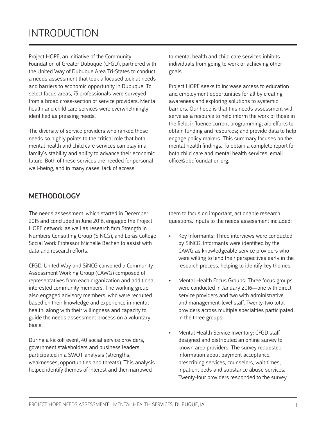Project HOPE, an initiative of the Community Foundation of Greater Dubuque (CFGD), partnered with the United Way of Dubuque Area Tri-States to conduct a needs assessment that took a focused look at needs and barriers to economic opportunity in Dubuque. To select focus areas, 75 professionals were surveyed from a broad cross-section of service providers. Mental health and child care services were overwhelmingly identified as pressing needs.

The diversity of service providers who ranked these needs so highly points to the critical role that both mental health and child care services can play in a family's stability and ability to advance their economic future. Both of these services are needed for personal well-being, and in many cases, lack of access

to mental health and child care services inhibits individuals from going to work or achieving other goals.

Project HOPE seeks to increase access to education and employment opportunities for all by creating awareness and exploring solutions to systemic barriers. Our hope is that this needs assessment will serve as a resource to help inform the work of those in the field; influence current programming; aid efforts to obtain funding and resources; and provide data to help engage policy makers. This summary focuses on the mental health findings. To obtain a complete report for both child care and mental health services, email office@dbqfoundation.org.

### METHODOLOGY

The needs assessment, which started in December 2015 and concluded in June 2016, engaged the Project HOPE network, as well as research firm Strength in Numbers Consulting Group (SiNCG), and Loras College Social Work Professor Michelle Bechen to assist with data and research efforts.

CFGD, United Way and SiNCG convened a Community Assessment Working Group (CAWG) composed of representatives from each organization and additional interested community members. The working group also engaged advisory members, who were recruited based on their knowledge and experience in mental health, along with their willingness and capacity to guide the needs assessment process on a voluntary basis.

During a kickoff event, 40 social service providers, government stakeholders and business leaders participated in a SWOT analysis (strengths, weaknesses, opportunities and threats). This analysis helped identify themes of interest and then narrowed

them to focus on important, actionable research questions. Inputs to the needs assessment included:

- Key Informants: Three interviews were conducted by SiNCG. Informants were identified by the CAWG as knowledgeable service providers who were willing to lend their perspectives early in the research process, helping to identify key themes.
- Mental Health Focus Groups: Three focus groups were conducted in January 2016—one with direct service providers and two with administrative and management-level staff. Twenty-two total providers across multiple specialties participated in the three groups.
- Mental Health Service Inventory: CFGD staff designed and distributed an online survey to known area providers. The survey requested information about payment acceptance, prescribing services, counselors, wait times, inpatient beds and substance abuse services. Twenty-four providers responded to the survey.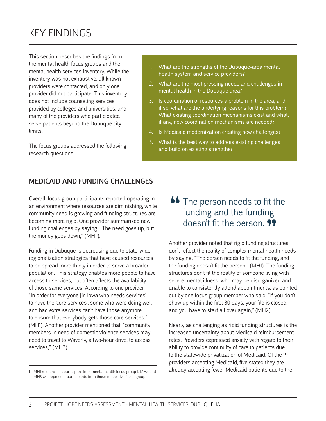# KEY FINDINGS

This section describes the findings from the mental health focus groups and the mental health services inventory. While the inventory was not exhaustive, all known providers were contacted, and only one provider did not participate. This inventory does not include counseling services provided by colleges and universities, and many of the providers who participated serve patients beyond the Dubuque city **limits** 

The focus groups addressed the following research questions:

- 1. What are the strengths of the Dubuque-area mental health system and service providers?
- 2. What are the most pressing needs and challenges in mental health in the Dubuque area?
- 3. Is coordination of resources a problem in the area, and if so, what are the underlying reasons for this problem? What existing coordination mechanisms exist and what, if any, new coordination mechanisms are needed?
- 4. Is Medicaid modernization creating new challenges?
- 5. What is the best way to address existing challenges and build on existing strengths?

### MEDICAID AND FUNDING CHALLENGES

Overall, focus group participants reported operating in an environment where resources are diminishing, while community need is growing and funding structures are becoming more rigid. One provider summarized new funding challenges by saying, "The need goes up, but the money goes down," (MH1').

Funding in Dubuque is decreasing due to state-wide regionalization strategies that have caused resources to be spread more thinly in order to serve a broader population. This strategy enables more people to have access to services, but often affects the availability of those same services. According to one provider, "In order for everyone [in Iowa who needs services] to have the 'core services', some who were doing well and had extra services can't have those anymore to ensure that everybody gets those core services," (MH1). Another provider mentioned that, "community members in need of domestic violence services may need to travel to Waverly, a two-hour drive, to access services," (MH3).

### **66** The person needs to fit the funding and the funding funding and the funding doesn't fit the person.  $99$

Another provider noted that rigid funding structures don't reflect the reality of complex mental health needs by saying, "The person needs to fit the funding, and the funding doesn't fit the person," (MH1). The funding structures don't fit the reality of someone living with severe mental illness, who may be disorganized and unable to consistently attend appointments, as pointed out by one focus group member who said: "If you don't show up within the first 30 days, your file is closed, and you have to start all over again," (MH2).

Nearly as challenging as rigid funding structures is the increased uncertainty about Medicaid reimbursement rates. Providers expressed anxiety with regard to their ability to provide continuity of care to patients due to the statewide privatization of Medicaid. Of the 19 providers accepting Medicaid, five stated they are already accepting fewer Medicaid patients due to the

<sup>1</sup> MH1 references a participant from mental health focus group 1. MH2 and MH3 will represent participants from those respective focus groups.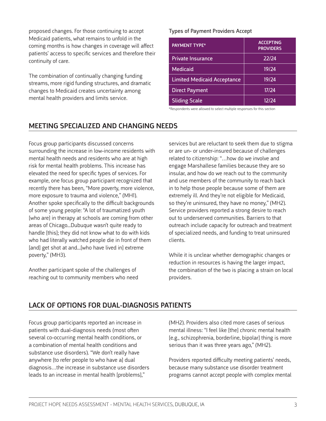proposed changes. For those continuing to accept Medicaid patients, what remains to unfold in the coming months is how changes in coverage will affect patients' access to specific services and therefore their continuity of care.

The combination of continually changing funding streams, more rigid funding structures, and dramatic changes to Medicaid creates uncertainty among mental health providers and limits service.

#### Types of Payment Providers Accept

| <b>PAYMENT TYPE*</b>               | <b>ACCEPTING</b><br><b>PROVIDERS</b> |
|------------------------------------|--------------------------------------|
| <b>Private Insurance</b>           | 22/24                                |
| Medicaid                           | 19/24                                |
| <b>Limited Medicaid Acceptance</b> | 19/24                                |
| <b>Direct Payment</b>              | 17/24                                |
| <b>Sliding Scale</b>               | 12/24                                |

\*Respondents were allowed to select multiple responses for this section

### MEETING SPECIALIZED AND CHANGING NEEDS

Focus group participants discussed concerns surrounding the increase in low-income residents with mental health needs and residents who are at high risk for mental health problems. This increase has elevated the need for specific types of services. For example, one focus group participant recognized that recently there has been, "More poverty, more violence, more exposure to trauma and violence," (MH1). Another spoke specifically to the difficult backgrounds of some young people: "A lot of traumatized youth [who are] in therapy at schools are coming from other areas of Chicago...Dubuque wasn't quite ready to handle [this]; they did not know what to do with kids who had literally watched people die in front of them [and] get shot at and...[who have lived in] extreme poverty," (MH3).

Another participant spoke of the challenges of reaching out to community members who need

services but are reluctant to seek them due to stigma or are un- or under-insured because of challenges related to citizenship: "…how do we involve and engage Marshallese families because they are so insular, and how do we reach out to the community and use members of the community to reach back in to help those people because some of them are extremely ill. And they're not eligible for Medicaid, so they're uninsured, they have no money," (MH2). Service providers reported a strong desire to reach out to underserved communities. Barriers to that outreach include capacity for outreach and treatment of specialized needs, and funding to treat uninsured clients.

While it is unclear whether demographic changes or reduction in resources is having the larger impact, the combination of the two is placing a strain on local providers.

### LACK OF OPTIONS FOR DUAL-DIAGNOSIS PATIENTS

Focus group participants reported an increase in patients with dual-diagnosis needs (most often several co-occurring mental health conditions, or a combination of mental health conditions and substance use disorders). "We don't really have anywhere [to refer people to who have a] dual diagnosis…the increase in substance use disorders leads to an increase in mental health [problems],"

(MH2). Providers also cited more cases of serious mental illness: "I feel like [the] chronic mental health [e.g., schizophrenia, borderline, bipolar] thing is more serious than it was three years ago," (MH2).

Providers reported difficulty meeting patients' needs, because many substance use disorder treatment programs cannot accept people with complex mental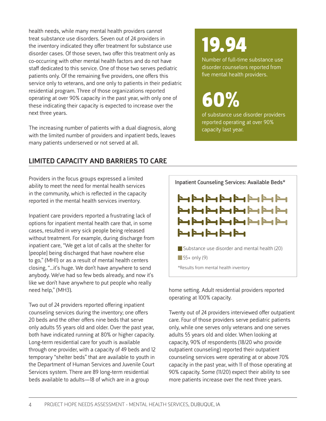health needs, while many mental health providers cannot treat substance use disorders. Seven out of 24 providers in the inventory indicated they offer treatment for substance use disorder cases. Of those seven, two offer this treatment only as co-occurring with other mental health factors and do not have staff dedicated to this service. One of those two serves pediatric patients only. Of the remaining five providers, one offers this service only to veterans, and one only to patients in their pediatric residential program. Three of those organizations reported operating at over 90% capacity in the past year, with only one of these indicating their capacity is expected to increase over the next three years.

The increasing number of patients with a dual diagnosis, along with the limited number of providers and inpatient beds, leaves many patients underserved or not served at all.

### LIMITED CAPACITY AND BARRIERS TO CARE

Providers in the focus groups expressed a limited ability to meet the need for mental health services in the community, which is reflected in the capacity reported in the mental health services inventory.

Inpatient care providers reported a frustrating lack of options for inpatient mental health care that, in some cases, resulted in very sick people being released without treatment. For example, during discharge from inpatient care, "We get a lot of calls at the shelter for [people] being discharged that have nowhere else to go," (MH1) or as a result of mental health centers closing, "...it's huge. We don't have anywhere to send anybody. We've had so few beds already, and now it's like we don't have anywhere to put people who really need help," (MH3).

Two out of 24 providers reported offering inpatient counseling services during the inventory; one offers 20 beds and the other offers nine beds that serve only adults 55 years old and older. Over the past year, both have indicated running at 80% or higher capacity. Long-term residential care for youth is available through one provider, with a capacity of 49 beds and 12 temporary "shelter beds" that are available to youth in the Department of Human Services and Juvenile Court Services system. There are 89 long-term residential beds available to adults—18 of which are in a group

# 19.94

Number of full-time substance use disorder counselors reported from five mental health providers.

# 60%

of substance use disorder providers reported operating at over 90% capacity last year.



home setting. Adult residential providers reported operating at 100% capacity.

Twenty out of 24 providers interviewed offer outpatient care. Four of those providers serve pediatric patients only, while one serves only veterans and one serves adults 55 years old and older. When looking at capacity, 90% of respondents (18/20 who provide outpatient counseling) reported their outpatient counseling services were operating at or above 70% capacity in the past year, with 11 of those operating at 90% capacity. Some (11/20) expect their ability to see more patients increase over the next three years.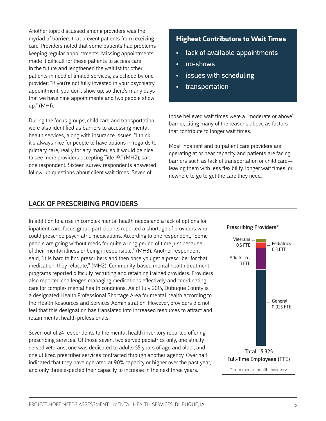Another topic discussed among providers was the myriad of barriers that prevent patients from receiving care. Providers noted that some patients had problems keeping regular appointments. Missing appointments made it difficult for these patients to access care in the future and lengthened the waitlist for other patients in need of limited services, as echoed by one provider: "If you're not fully invested in your psychiatry appointment, you don't show up, so there's many days that we have nine appointments and two people show up," (MH1).

During the focus groups, child care and transportation were also identified as barriers to accessing mental health services, along with insurance issues. "I think it's always nice for people to have options in regards to primary care, really for any matter, so it would be nice to see more providers accepting Title 19," (MH2), said one respondent. Sixteen survey respondents answered follow-up questions about client wait times. Seven of

### LACK OF PRESCRIBING PROVIDERS

**Highest Contributors to Wait Times**

- lack of available appointments
- no-shows
- issues with scheduling
- transportation

those believed wait times were a "moderate or above" barrier, citing many of the reasons above as factors that contribute to longer wait times.

Most inpatient and outpatient care providers are operating at or near capacity and patients are facing barriers such as lack of transportation or child care leaving them with less flexibility, longer wait times, or nowhere to go to get the care they need.

In addition to a rise in complex mental health needs and a lack of options for inpatient care, focus group participants reported a shortage of providers who could prescribe psychiatric medications. According to one respondent, "Some people are going without meds for quite a long period of time just because of their mental illness or being irresponsible," (MH3). Another respondent said, "It is hard to find prescribers and then once you get a prescriber for that medication, they relocate," (MH2). Community-based mental health treatment programs reported difficulty recruiting and retaining trained providers. Providers also reported challenges managing medications effectively and coordinating care for complex mental health conditions. As of July 2015, Dubuque County is a designated Health Professional Shortage Area for mental health according to the Health Resources and Services Administration. However, providers did not feel that this designation has translated into increased resources to attract and retain mental health professionals.

Seven out of 24 respondents to the mental health inventory reported offering prescribing services. Of those seven, two served pediatrics only, one strictly served veterans, one was dedicated to adults 55 years of age and older, and one utilized prescriber services contracted through another agency. Over half indicated that they have operated at 90% capacity or higher over the past year, and only three expected their capacity to increase in the next three years.

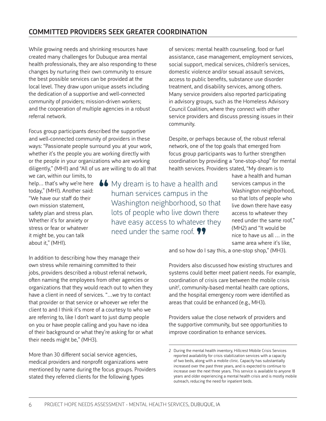### COMMITTED PROVIDERS SEEK GREATER COORDINATION

While growing needs and shrinking resources have created many challenges for Dubuque area mental health professionals, they are also responding to these changes by nurturing their own community to ensure the best possible services can be provided at the local level. They draw upon unique assets including the dedication of a supportive and well-connected community of providers; mission-driven workers; and the cooperation of multiple agencies in a robust referral network.

Focus group participants described the supportive and well-connected community of providers in these ways: "Passionate people surround you at your work, whether it's the people you are working directly with or the people in your organizations who are working diligently," (MH1) and "All of us are willing to do all that

we can, within our limits, to help… that's why we're here today," (MH1). Another said: "We have our staff do their own mission statement, safety plan and stress plan. Whether it's for anxiety or stress or fear or whatever it might be, you can talk about it," (MH1).

**66** My dream is to have a health and human services campus in the human services campus in the Washington neighborhood, so that lots of people who live down there have easy access to whatever they need under the same roof.  $\mathbf{9}$ 

of services: mental health counseling, food or fuel assistance, case management, employment services, social support, medical services, children's services, domestic violence and/or sexual assault services, access to public benefits, substance use disorder treatment, and disability services, among others. Many service providers also reported participating in advisory groups, such as the Homeless Advisory Council Coalition, where they connect with other service providers and discuss pressing issues in their community.

Despite, or perhaps because of, the robust referral network, one of the top goals that emerged from focus group participants was to further strengthen coordination by providing a "one-stop-shop" for mental health services. Providers stated, "My dream is to

have a health and human services campus in the Washington neighborhood, so that lots of people who live down there have easy access to whatever they need under the same roof," (MH2) and "It would be nice to have us all … in the same area where it's like,

and so how do I say this, a one-stop shop," (MH3).

Providers also discussed how existing structures and systems could better meet patient needs. For example, coordination of crisis care between the mobile crisis  $unit<sup>2</sup>$ , community-based mental health care options, and the hospital emergency room were identified as areas that could be enhanced (e.g., MH3).

Providers value the close network of providers and the supportive community, but see opportunities to improve coordination to enhance services.

In addition to describing how they manage their own stress while remaining committed to their jobs, providers described a robust referral network, often naming the employees from other agencies or organizations that they would reach out to when they have a client in need of services. "…we try to contact that provider or that service or whoever we refer the client to and I think it's more of a courtesy to who we are referring to, like I don't want to just dump people on you or have people calling and you have no idea of their background or what they're asking for or what their needs might be," (MH3).

More than 30 different social service agencies, medical providers and nonprofit organizations were mentioned by name during the focus groups. Providers stated they referred clients for the following types

<sup>2</sup> During the mental health inventory, Hillcrest Mobile Crisis Services reported availability for crisis stabilization services with a capacity of two beds, along with a mobile clinic. Capacity has substantially increased over the past three years, and is expected to continue to increase over the next three years. This service is available to anyone 18 years and older experiencing a mental health crisis and is mostly mobile outreach, reducing the need for inpatient beds.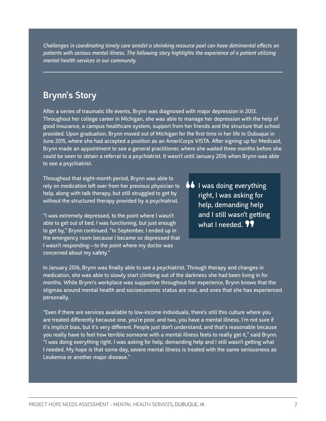*Challenges in coordinating timely care amidst a shrinking resource pool can have detrimental effects on patients with serious mental illness. The following story highlights the experience of a patient utilizing mental health services in our community.* 

### Brynn's Story

After a series of traumatic life events, Brynn was diagnosed with major depression in 2013. Throughout her college career in Michigan, she was able to manage her depression with the help of good insurance, a campus healthcare system, support from her friends and the structure that school provided. Upon graduation, Brynn moved out of Michigan for the first time in her life to Dubuque in June 2015, where she had accepted a position as an AmeriCorps VISTA. After signing up for Medicaid, Brynn made an appointment to see a general practitioner, where she waited three months before she could be seen to obtain a referral to a psychiatrist. It wasn't until January 2016 when Brynn was able to see a psychiatrist.

Throughout that eight-month period, Brynn was able to rely on medication left over from her previous physician to help, along with talk therapy, but still struggled to get by without the structured therapy provided by a psychiatrist.

"I was extremely depressed, to the point where I wasn't able to get out of bed. I was functioning, but just enough to get by," Brynn continued. "In September, I ended up in the emergency room because I became so depressed that I wasn't responding—to the point where my doctor was concerned about my safety."

**66** I was doing everything<br>right, I was asking for right, I was asking for help, demanding help and I still wasn't getting what I needed. **99** 

In January 2016, Brynn was finally able to see a psychiatrist. Through therapy and changes in medication, she was able to slowly start climbing out of the darkness she had been living in for months. While Brynn's workplace was supportive throughout her experience, Brynn knows that the stigmas around mental health and socioeconomic status are real, and ones that she has experienced personally.

"Even if there are services available to low-income individuals, there's still this culture where you are treated differently because one, you're poor, and two, you have a mental illness. I'm not sure if it's implicit bias, but it's very different. People just don't understand, and that's reasonable because you really have to feel how terrible someone with a mental illness feels to really get it," said Brynn. "I was doing everything right. I was asking for help, demanding help and I still wasn't getting what I needed. My hope is that some day, severe mental illness is treated with the same seriousness as Leukemia or another major disease."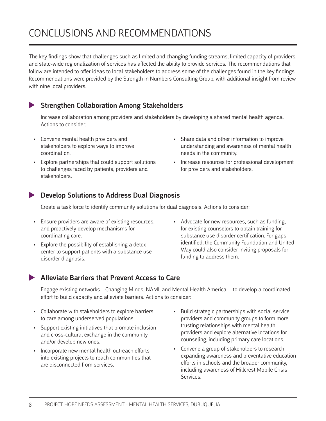# CONCLUSIONS AND RECOMMENDATIONS

The key findings show that challenges such as limited and changing funding streams, limited capacity of providers, and state-wide regionalization of services has affected the ability to provide services. The recommendations that follow are intended to offer ideas to local stakeholders to address some of the challenges found in the key findings. Recommendations were provided by the Strength in Numbers Consulting Group, with additional insight from review with nine local providers.

### Strengthen Collaboration Among Stakeholders

Increase collaboration among providers and stakeholders by developing a shared mental health agenda. Actions to consider:

- Convene mental health providers and stakeholders to explore ways to improve coordination.
- Explore partnerships that could support solutions to challenges faced by patients, providers and stakeholders.
- Share data and other information to improve understanding and awareness of mental health needs in the community.
- Increase resources for professional development for providers and stakeholders.

### Develop Solutions to Address Dual Diagnosis

Create a task force to identify community solutions for dual diagnosis. Actions to consider:

- Ensure providers are aware of existing resources, and proactively develop mechanisms for coordinating care.
- Explore the possibility of establishing a detox center to support patients with a substance use disorder diagnosis.
- Advocate for new resources, such as funding, for existing counselors to obtain training for substance use disorder certification. For gaps identified, the Community Foundation and United Way could also consider inviting proposals for funding to address them.

### Alleviate Barriers that Prevent Access to Care

Engage existing networks—Changing Minds, NAMI, and Mental Health America— to develop a coordinated effort to build capacity and alleviate barriers. Actions to consider:

- Collaborate with stakeholders to explore barriers to care among underserved populations.
- Support existing initiatives that promote inclusion and cross-cultural exchange in the community and/or develop new ones.
- Incorporate new mental health outreach efforts into existing projects to reach communities that are disconnected from services.
- Build strategic partnerships with social service providers and community groups to form more trusting relationships with mental health providers and explore alternative locations for counseling, including primary care locations.
- Convene a group of stakeholders to research expanding awareness and preventative education efforts in schools and the broader community, including awareness of Hillcrest Mobile Crisis Services.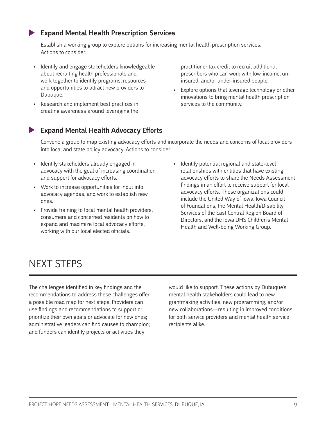### Expand Mental Health Prescription Services

Establish a working group to explore options for increasing mental health prescription services. Actions to consider:

- Identify and engage stakeholders knowledgeable about recruiting health professionals and work together to identify programs, resources and opportunities to attract new providers to Dubuque.
- Research and implement best practices in creating awareness around leveraging the

practitioner tax credit to recruit additional prescribers who can work with low-income, uninsured, and/or under-insured people.

Explore options that leverage technology or other innovations to bring mental health prescription services to the community.

### Expand Mental Health Advocacy Efforts

Convene a group to map existing advocacy efforts and incorporate the needs and concerns of local providers into local and state policy advocacy. Actions to consider:

- Identify stakeholders already engaged in advocacy with the goal of increasing coordination and support for advocacy efforts.
- Work to increase opportunities for input into advocacy agendas, and work to establish new ones.
- Provide training to local mental health providers, consumers and concerned residents on how to expand and maximize local advocacy efforts, working with our local elected officials.
- Identify potential regional and state-level relationships with entities that have existing advocacy efforts to share the Needs Assessment findings in an effort to receive support for local advocacy efforts. These organizations could include the United Way of Iowa, Iowa Council of Foundations, the Mental Health/Disability Services of the East Central Region Board of Directors, and the Iowa DHS Children's Mental Health and Well-being Working Group.

## NEXT STEPS

The challenges identified in key findings and the recommendations to address these challenges offer a possible road map for next steps. Providers can use findings and recommendations to support or prioritize their own goals or advocate for new ones; administrative leaders can find causes to champion; and funders can identify projects or activities they

would like to support. These actions by Dubuque's mental health stakeholders could lead to new grantmaking activities, new programming, and/or new collaborations—resulting in improved conditions for both service providers and mental health service recipients alike.